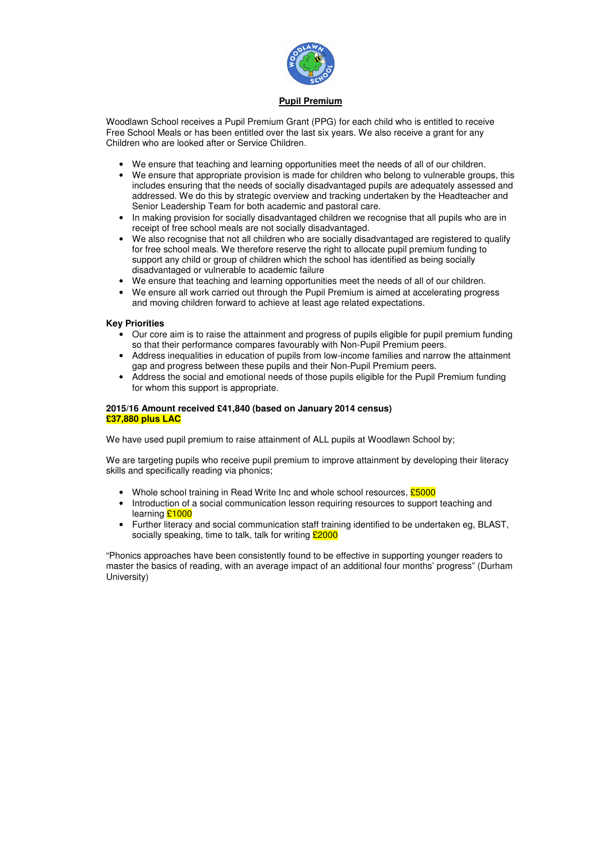

# **Pupil Premium**

Woodlawn School receives a Pupil Premium Grant (PPG) for each child who is entitled to receive Free School Meals or has been entitled over the last six years. We also receive a grant for any Children who are looked after or Service Children.

- We ensure that teaching and learning opportunities meet the needs of all of our children.
- We ensure that appropriate provision is made for children who belong to vulnerable groups, this includes ensuring that the needs of socially disadvantaged pupils are adequately assessed and addressed. We do this by strategic overview and tracking undertaken by the Headteacher and Senior Leadership Team for both academic and pastoral care.
- In making provision for socially disadvantaged children we recognise that all pupils who are in receipt of free school meals are not socially disadvantaged.
- We also recognise that not all children who are socially disadvantaged are registered to qualify for free school meals. We therefore reserve the right to allocate pupil premium funding to support any child or group of children which the school has identified as being socially disadvantaged or vulnerable to academic failure
- We ensure that teaching and learning opportunities meet the needs of all of our children.
- We ensure all work carried out through the Pupil Premium is aimed at accelerating progress and moving children forward to achieve at least age related expectations.

We are targeting pupils who receive pupil premium to improve attainment by developing their literacy skills and specifically reading via phonics;

- Whole school training in Read Write Inc and whole school resources,  $£5000$
- Introduction of a social communication lesson requiring resources to support teaching and learning **£1000**
- Further literacy and social communication staff training identified to be undertaken eg, BLAST, socially speaking, time to talk, talk for writing  $\frac{\text{E2000}}{\text{E2000}}$

## **Key Priorities**

- Our core aim is to raise the attainment and progress of pupils eligible for pupil premium funding so that their performance compares favourably with Non-Pupil Premium peers.
- Address inequalities in education of pupils from low-income families and narrow the attainment gap and progress between these pupils and their Non-Pupil Premium peers.
- Address the social and emotional needs of those pupils eligible for the Pupil Premium funding for whom this support is appropriate.

## **2015/16 Amount received £41,840 (based on January 2014 census) £37,880 plus LAC**

We have used pupil premium to raise attainment of ALL pupils at Woodlawn School by;

"Phonics approaches have been consistently found to be effective in supporting younger readers to master the basics of reading, with an average impact of an additional four months' progress" (Durham University)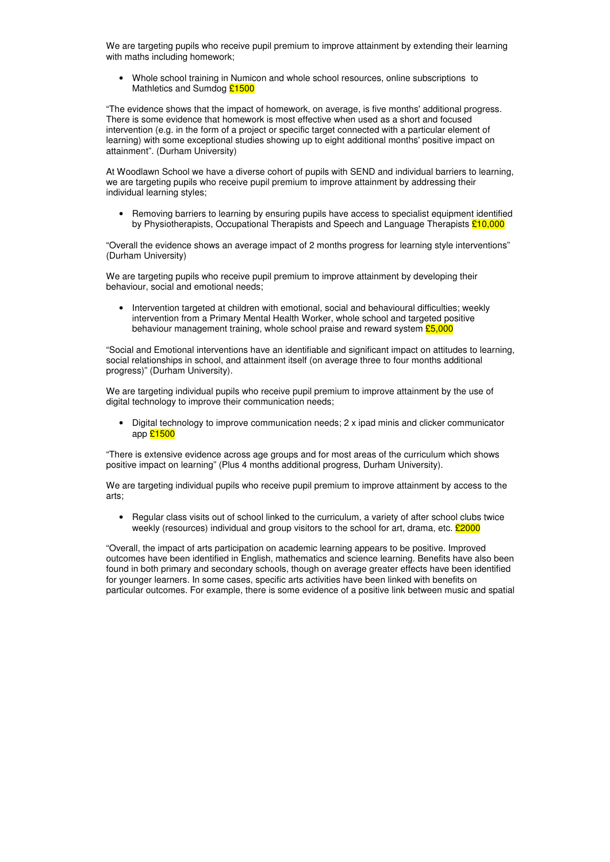We are targeting pupils who receive pupil premium to improve attainment by extending their learning with maths including homework;

• Whole school training in Numicon and whole school resources, online subscriptions to Mathletics and Sumdog £1500

• Removing barriers to learning by ensuring pupils have access to specialist equipment identified by Physiotherapists, Occupational Therapists and Speech and Language Therapists  $\frac{210,000}{2}$ 

"The evidence shows that the impact of homework, on average, is five months' additional progress. There is some evidence that homework is most effective when used as a short and focused intervention (e.g. in the form of a project or specific target connected with a particular element of learning) with some exceptional studies showing up to eight additional months' positive impact on attainment". (Durham University)

• Intervention targeted at children with emotional, social and behavioural difficulties; weekly intervention from a Primary Mental Health Worker, whole school and targeted positive behaviour management training, whole school praise and reward system  $£5,000$ 

At Woodlawn School we have a diverse cohort of pupils with SEND and individual barriers to learning, we are targeting pupils who receive pupil premium to improve attainment by addressing their individual learning styles;

We are targeting individual pupils who receive pupil premium to improve attainment by the use of digital technology to improve their communication needs;

"Overall the evidence shows an average impact of 2 months progress for learning style interventions" (Durham University)

We are targeting individual pupils who receive pupil premium to improve attainment by access to the arts;

• Regular class visits out of school linked to the curriculum, a variety of after school clubs twice weekly (resources) individual and group visitors to the school for art, drama, etc.  $\text{\pounds}2000$ 

We are targeting pupils who receive pupil premium to improve attainment by developing their behaviour, social and emotional needs;

"Social and Emotional interventions have an identifiable and significant impact on attitudes to learning, social relationships in school, and attainment itself (on average three to four months additional progress)" (Durham University).

• Digital technology to improve communication needs; 2 x ipad minis and clicker communicator app £1500

"There is extensive evidence across age groups and for most areas of the curriculum which shows positive impact on learning" (Plus 4 months additional progress, Durham University).

"Overall, the impact of arts participation on academic learning appears to be positive. Improved outcomes have been identified in English, mathematics and science learning. Benefits have also been found in both primary and secondary schools, though on average greater effects have been identified for younger learners. In some cases, specific arts activities have been linked with benefits on particular outcomes. For example, there is some evidence of a positive link between music and spatial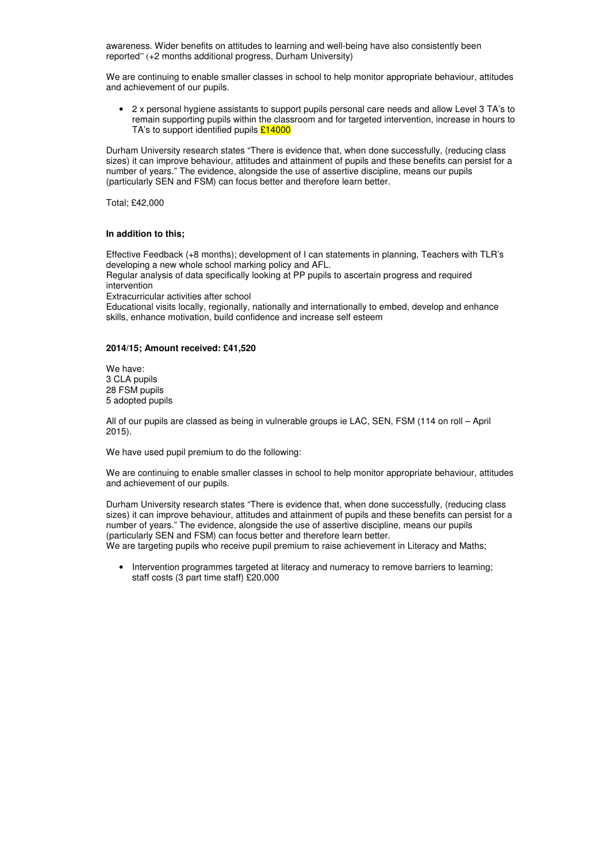awareness. Wider benefits on attitudes to learning and well-being have also consistently been reported" (+2 months additional progress, Durham University)

We are continuing to enable smaller classes in school to help monitor appropriate behaviour, attitudes and achievement of our pupils.

• 2 x personal hygiene assistants to support pupils personal care needs and allow Level 3 TA's to remain supporting pupils within the classroom and for targeted intervention, increase in hours to TA's to support identified pupils  $£14000$ 

Durham University research states "There is evidence that, when done successfully, (reducing class sizes) it can improve behaviour, attitudes and attainment of pupils and these benefits can persist for a number of years." The evidence, alongside the use of assertive discipline, means our pupils (particularly SEN and FSM) can focus better and therefore learn better.

We are continuing to enable smaller classes in school to help monitor appropriate behaviour, attitudes and achievement of our pupils.

Durham University research states "There is evidence that, when done successfully, (reducing class sizes) it can improve behaviour, attitudes and attainment of pupils and these benefits can persist for a number of years." The evidence, alongside the use of assertive discipline, means our pupils (particularly SEN and FSM) can focus better and therefore learn better. We are targeting pupils who receive pupil premium to raise achievement in Literacy and Maths;

Total; £42,000

## **In addition to this;**

Effective Feedback (+8 months); development of I can statements in planning, Teachers with TLR's developing a new whole school marking policy and AFL.

Regular analysis of data specifically looking at PP pupils to ascertain progress and required intervention

• Intervention programmes targeted at literacy and numeracy to remove barriers to learning; staff costs (3 part time staff) £20,000

Extracurricular activities after school

Educational visits locally, regionally, nationally and internationally to embed, develop and enhance skills, enhance motivation, build confidence and increase self esteem

### **2014/15; Amount received: £41,520**

We have: 3 CLA pupils 28 FSM pupils 5 adopted pupils

All of our pupils are classed as being in vulnerable groups ie LAC, SEN, FSM (114 on roll – April 2015).

We have used pupil premium to do the following: